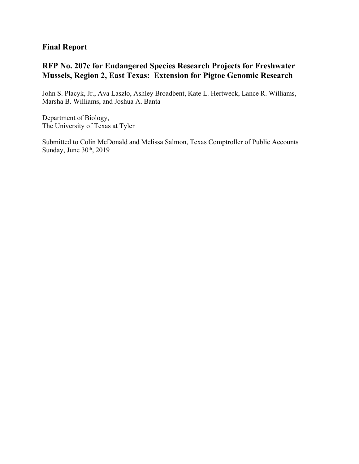## **Final Report**

# **RFP No. 207c for Endangered Species Research Projects for Freshwater Mussels, Region 2, East Texas: Extension for Pigtoe Genomic Research**

John S. Placyk, Jr., Ava Laszlo, Ashley Broadbent, Kate L. Hertweck, Lance R. Williams, Marsha B. Williams, and Joshua A. Banta

Department of Biology, The University of Texas at Tyler

Submitted to Colin McDonald and Melissa Salmon, Texas Comptroller of Public Accounts Sunday, June 30<sup>th</sup>, 2019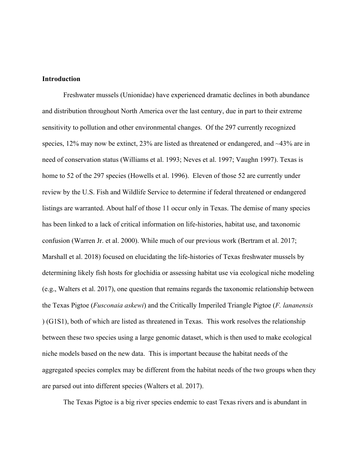### **Introduction**

Freshwater mussels (Unionidae) have experienced dramatic declines in both abundance and distribution throughout North America over the last century, due in part to their extreme sensitivity to pollution and other environmental changes. Of the 297 currently recognized species,  $12\%$  may now be extinct,  $23\%$  are listed as threatened or endangered, and  $\sim$ 43% are in need of conservation status (Williams et al. 1993; Neves et al. 1997; Vaughn 1997). Texas is home to 52 of the 297 species (Howells et al. 1996). Eleven of those 52 are currently under review by the U.S. Fish and Wildlife Service to determine if federal threatened or endangered listings are warranted. About half of those 11 occur only in Texas. The demise of many species has been linked to a lack of critical information on life-histories, habitat use, and taxonomic confusion (Warren Jr. et al. 2000). While much of our previous work (Bertram et al. 2017; Marshall et al. 2018) focused on elucidating the life-histories of Texas freshwater mussels by determining likely fish hosts for glochidia or assessing habitat use via ecological niche modeling (e.g., Walters et al. 2017), one question that remains regards the taxonomic relationship between the Texas Pigtoe (*Fusconaia askewi*) and the Critically Imperiled Triangle Pigtoe (*F. lananensis* ) (G1S1), both of which are listed as threatened in Texas. This work resolves the relationship between these two species using a large genomic dataset, which is then used to make ecological niche models based on the new data. This is important because the habitat needs of the aggregated species complex may be different from the habitat needs of the two groups when they are parsed out into different species (Walters et al. 2017).

The Texas Pigtoe is a big river species endemic to east Texas rivers and is abundant in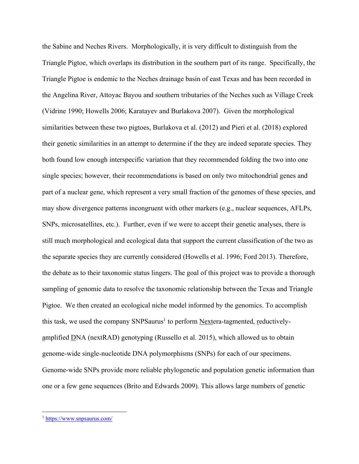the Sabine and Neches Rivers. Morphologically, it is very difficult to distinguish from the Triangle Pigtoe, which overlaps its distribution in the southern part of its range. Specifically, the Triangle Pigtoe is endemic to the Neches drainage basin of east Texas and has been recorded in the Angelina River, Attoyac Bayou and southern tributaries of the Neches such as Village Creek (Vidrine 1990; Howells 2006; Karatayev and Burlakova 2007). Given the morphological similarities between these two pigtoes, Burlakova et al. (2012) and Pieri et al. (2018) explored their genetic similarities in an attempt to determine if the they are indeed separate species. They both found low enough interspecific variation that they recommended folding the two into one single species; however, their recommendations is based on only two mitochondrial genes and part of a nuclear gene, which represent a very small fraction of the genomes of these species, and may show divergence patterns incongruent with other markers (e.g., nuclear sequences, AFLPs, SNPs, microsatellites, etc.). Further, even if we were to accept their genetic analyses, there is still much morphological and ecological data that support the current classification of the two as the separate species they are currently considered (Howells et al. 1996; Ford 2013). Therefore, the debate as to their taxonomic status lingers. The goal of this project was to provide a thorough sampling of genomic data to resolve the taxonomic relationship between the Texas and Triangle Pigtoe. We then created an ecological niche model informed by the genomics. To accomplish this task, we used the company  $SNPSaurus<sup>1</sup>$  to perform Nextera-tagmented, reductivelyamplified DNA (nextRAD) genotyping (Russello et al. 2015), which allowed us to obtain genome-wide single-nucleotide DNA polymorphisms (SNPs) for each of our specimens. Genome-wide SNPs provide more reliable phylogenetic and population genetic information than one or a few gene sequences (Brito and Edwards 2009). This allows large numbers of genetic

 <sup>1</sup> https://www.snpsaurus.com/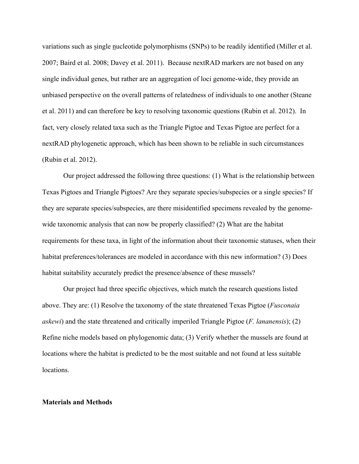variations such as single nucleotide polymorphisms (SNPs) to be readily identified (Miller et al. 2007; Baird et al. 2008; Davey et al. 2011). Because nextRAD markers are not based on any single individual genes, but rather are an aggregation of loci genome-wide, they provide an unbiased perspective on the overall patterns of relatedness of individuals to one another (Steane et al. 2011) and can therefore be key to resolving taxonomic questions (Rubin et al. 2012). In fact, very closely related taxa such as the Triangle Pigtoe and Texas Pigtoe are perfect for a nextRAD phylogenetic approach, which has been shown to be reliable in such circumstances (Rubin et al. 2012).

Our project addressed the following three questions: (1) What is the relationship between Texas Pigtoes and Triangle Pigtoes? Are they separate species/subspecies or a single species? If they are separate species/subspecies, are there misidentified specimens revealed by the genomewide taxonomic analysis that can now be properly classified? (2) What are the habitat requirements for these taxa, in light of the information about their taxonomic statuses, when their habitat preferences/tolerances are modeled in accordance with this new information? (3) Does habitat suitability accurately predict the presence/absence of these mussels?

Our project had three specific objectives, which match the research questions listed above. They are: (1) Resolve the taxonomy of the state threatened Texas Pigtoe (*Fusconaia askewi*) and the state threatened and critically imperiled Triangle Pigtoe (*F. lananensis*); (2) Refine niche models based on phylogenomic data; (3) Verify whether the mussels are found at locations where the habitat is predicted to be the most suitable and not found at less suitable locations.

#### **Materials and Methods**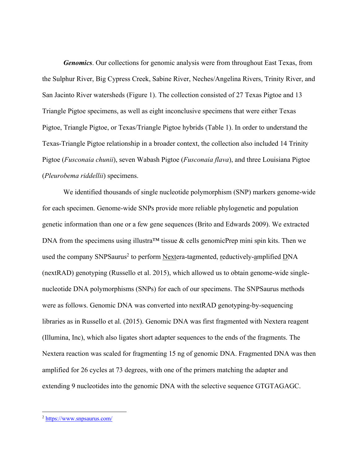*Genomics*. Our collections for genomic analysis were from throughout East Texas, from the Sulphur River, Big Cypress Creek, Sabine River, Neches/Angelina Rivers, Trinity River, and San Jacinto River watersheds (Figure 1). The collection consisted of 27 Texas Pigtoe and 13 Triangle Pigtoe specimens, as well as eight inconclusive specimens that were either Texas Pigtoe, Triangle Pigtoe, or Texas/Triangle Pigtoe hybrids (Table 1). In order to understand the Texas-Triangle Pigtoe relationship in a broader context, the collection also included 14 Trinity Pigtoe (*Fusconaia chunii*), seven Wabash Pigtoe (*Fusconaia flava*), and three Louisiana Pigtoe (*Pleurobema riddellii*) specimens.

We identified thousands of single nucleotide polymorphism (SNP) markers genome-wide for each specimen. Genome-wide SNPs provide more reliable phylogenetic and population genetic information than one or a few gene sequences (Brito and Edwards 2009). We extracted DNA from the specimens using illustra<sup>TM</sup> tissue & cells genomicPrep mini spin kits. Then we used the company SNPSaurus<sup>2</sup> to perform Nextera-tagmented, reductively-amplified DNA (nextRAD) genotyping (Russello et al. 2015), which allowed us to obtain genome-wide singlenucleotide DNA polymorphisms (SNPs) for each of our specimens. The SNPSaurus methods were as follows. Genomic DNA was converted into nextRAD genotyping-by-sequencing libraries as in Russello et al. (2015). Genomic DNA was first fragmented with Nextera reagent (Illumina, Inc), which also ligates short adapter sequences to the ends of the fragments. The Nextera reaction was scaled for fragmenting 15 ng of genomic DNA. Fragmented DNA was then amplified for 26 cycles at 73 degrees, with one of the primers matching the adapter and extending 9 nucleotides into the genomic DNA with the selective sequence GTGTAGAGC.

 <sup>2</sup> https://www.snpsaurus.com/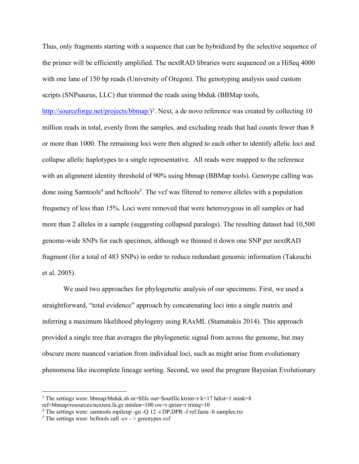Thus, only fragments starting with a sequence that can be hybridized by the selective sequence of the primer will be efficiently amplified. The nextRAD libraries were sequenced on a HiSeq 4000 with one lane of 150 bp reads (University of Oregon). The genotyping analysis used custom scripts (SNPsaurus, LLC) that trimmed the reads using bbduk (BBMap tools,

http://sourceforge.net/projects/bbmap/)<sup>3</sup>. Next, a de novo reference was created by collecting 10 million reads in total, evenly from the samples, and excluding reads that had counts fewer than 8 or more than 1000. The remaining loci were then aligned to each other to identify allelic loci and collapse allelic haplotypes to a single representative. All reads were mapped to the reference with an alignment identity threshold of 90% using bbmap (BBMap tools). Genotype calling was done using Samtools<sup>4</sup> and beftools<sup>5</sup>. The vef was filtered to remove alleles with a population frequency of less than 15%. Loci were removed that were heterozygous in all samples or had more than 2 alleles in a sample (suggesting collapsed paralogs). The resulting dataset had 10,500 genome-wide SNPs for each specimen, although we thinned it down one SNP per nextRAD fragment (for a total of 483 SNPs) in order to reduce redundant genomic information (Takeuchi et al. 2005).

We used two approaches for phylogenetic analysis of our specimens. First, we used a straightforward, "total evidence" approach by concatenating loci into a single matrix and inferring a maximum likelihood phylogeny using RAxML (Stamatakis 2014). This approach provided a single tree that averages the phylogenetic signal from across the genome, but may obscure more nuanced variation from individual loci, such as might arise from evolutionary phenomena like incomplete lineage sorting. Second, we used the program Bayesian Evolutionary

<sup>&</sup>lt;sup>3</sup> The settings were: bbmap/bbduk.sh in= $$file out=Southle ktrim=r k=17 hdist=1 mink=8$ ref=bbmap/resources/nextera.fa.gz minlen=100 ow=t qtrim=r trimq=10

<sup>4</sup> The settings were: samtools mpileup -gu -Q 12 -t DP,DPR -f ref.fasta -b samples.txt

<sup>&</sup>lt;sup>5</sup> The settings were: bcftools call -cv -  $>$  genotypes.vcf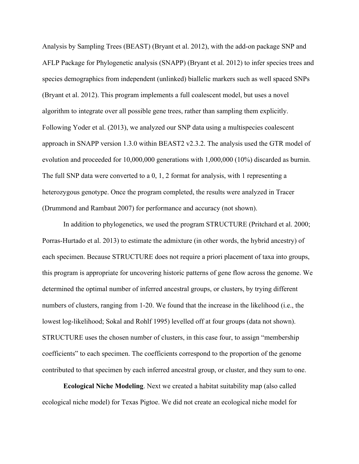Analysis by Sampling Trees (BEAST) (Bryant et al. 2012), with the add-on package SNP and AFLP Package for Phylogenetic analysis (SNAPP) (Bryant et al. 2012) to infer species trees and species demographics from independent (unlinked) biallelic markers such as well spaced SNPs (Bryant et al. 2012). This program implements a full coalescent model, but uses a novel algorithm to integrate over all possible gene trees, rather than sampling them explicitly. Following Yoder et al. (2013), we analyzed our SNP data using a multispecies coalescent approach in SNAPP version 1.3.0 within BEAST2 v2.3.2. The analysis used the GTR model of evolution and proceeded for 10,000,000 generations with 1,000,000 (10%) discarded as burnin. The full SNP data were converted to a 0, 1, 2 format for analysis, with 1 representing a heterozygous genotype. Once the program completed, the results were analyzed in Tracer (Drummond and Rambaut 2007) for performance and accuracy (not shown).

In addition to phylogenetics, we used the program STRUCTURE (Pritchard et al. 2000; Porras-Hurtado et al. 2013) to estimate the admixture (in other words, the hybrid ancestry) of each specimen. Because STRUCTURE does not require a priori placement of taxa into groups, this program is appropriate for uncovering historic patterns of gene flow across the genome. We determined the optimal number of inferred ancestral groups, or clusters, by trying different numbers of clusters, ranging from 1-20. We found that the increase in the likelihood (i.e., the lowest log-likelihood; Sokal and Rohlf 1995) levelled off at four groups (data not shown). STRUCTURE uses the chosen number of clusters, in this case four, to assign "membership coefficients" to each specimen. The coefficients correspond to the proportion of the genome contributed to that specimen by each inferred ancestral group, or cluster, and they sum to one.

**Ecological Niche Modeling**. Next we created a habitat suitability map (also called ecological niche model) for Texas Pigtoe. We did not create an ecological niche model for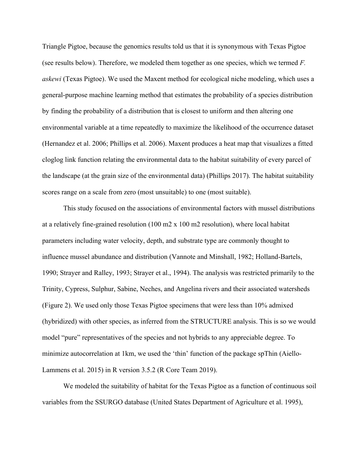Triangle Pigtoe, because the genomics results told us that it is synonymous with Texas Pigtoe (see results below). Therefore, we modeled them together as one species, which we termed *F. askewi* (Texas Pigtoe). We used the Maxent method for ecological niche modeling, which uses a general-purpose machine learning method that estimates the probability of a species distribution by finding the probability of a distribution that is closest to uniform and then altering one environmental variable at a time repeatedly to maximize the likelihood of the occurrence dataset (Hernandez et al. 2006; Phillips et al. 2006). Maxent produces a heat map that visualizes a fitted cloglog link function relating the environmental data to the habitat suitability of every parcel of the landscape (at the grain size of the environmental data) (Phillips 2017). The habitat suitability scores range on a scale from zero (most unsuitable) to one (most suitable).

This study focused on the associations of environmental factors with mussel distributions at a relatively fine-grained resolution (100 m2 x 100 m2 resolution), where local habitat parameters including water velocity, depth, and substrate type are commonly thought to influence mussel abundance and distribution (Vannote and Minshall, 1982; Holland-Bartels, 1990; Strayer and Ralley, 1993; Strayer et al., 1994). The analysis was restricted primarily to the Trinity, Cypress, Sulphur, Sabine, Neches, and Angelina rivers and their associated watersheds (Figure 2). We used only those Texas Pigtoe specimens that were less than 10% admixed (hybridized) with other species, as inferred from the STRUCTURE analysis. This is so we would model "pure" representatives of the species and not hybrids to any appreciable degree. To minimize autocorrelation at 1km, we used the 'thin' function of the package spThin (Aiello-Lammens et al. 2015) in R version 3.5.2 (R Core Team 2019).

We modeled the suitability of habitat for the Texas Pigtoe as a function of continuous soil variables from the SSURGO database (United States Department of Agriculture et al. 1995),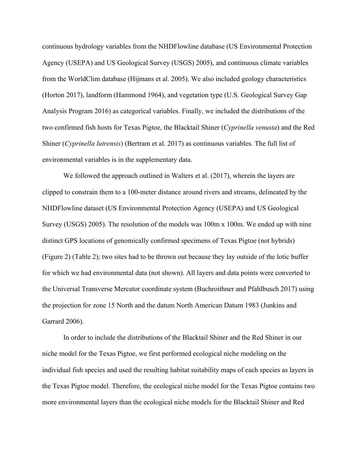continuous hydrology variables from the NHDFlowline database (US Environmental Protection Agency (USEPA) and US Geological Survey (USGS) 2005), and continuous climate variables from the WorldClim database (Hijmans et al. 2005). We also included geology characteristics (Horton 2017), landform (Hammond 1964), and vegetation type (U.S. Geological Survey Gap Analysis Program 2016) as categorical variables. Finally, we included the distributions of the two confirmed fish hosts for Texas Pigtoe, the Blacktail Shiner (*Cyprinella venusta*) and the Red Shiner (*Cyprinella lutrensis*) (Bertram et al. 2017) as continuous variables. The full list of environmental variables is in the supplementary data.

We followed the approach outlined in Walters et al. (2017), wherein the layers are clipped to constrain them to a 100-meter distance around rivers and streams, delineated by the NHDFlowline dataset (US Environmental Protection Agency (USEPA) and US Geological Survey (USGS) 2005). The resolution of the models was 100m x 100m. We ended up with nine distinct GPS locations of genomically confirmed specimens of Texas Pigtoe (not hybrids) (Figure 2) (Table 2); two sites had to be thrown out because they lay outside of the lotic buffer for which we had environmental data (not shown). All layers and data points were converted to the Universal Transverse Mercator coordinate system (Buchroithner and Pfahlbusch 2017) using the projection for zone 15 North and the datum North American Datum 1983 (Junkins and Garrard 2006).

In order to include the distributions of the Blacktail Shiner and the Red Shiner in our niche model for the Texas Pigtoe, we first performed ecological niche modeling on the individual fish species and used the resulting habitat suitability maps of each species as layers in the Texas Pigtoe model. Therefore, the ecological niche model for the Texas Pigtoe contains two more environmental layers than the ecological niche models for the Blacktail Shiner and Red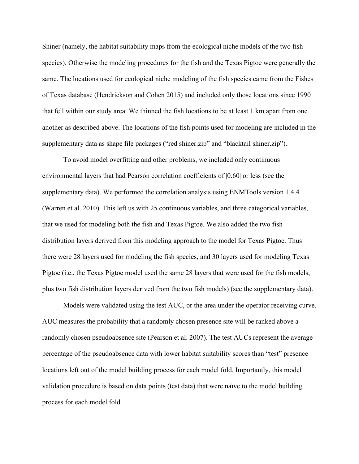Shiner (namely, the habitat suitability maps from the ecological niche models of the two fish species). Otherwise the modeling procedures for the fish and the Texas Pigtoe were generally the same. The locations used for ecological niche modeling of the fish species came from the Fishes of Texas database (Hendrickson and Cohen 2015) and included only those locations since 1990 that fell within our study area. We thinned the fish locations to be at least 1 km apart from one another as described above. The locations of the fish points used for modeling are included in the supplementary data as shape file packages ("red shiner.zip" and "blacktail shiner.zip").

To avoid model overfitting and other problems, we included only continuous environmental layers that had Pearson correlation coefficients of |0.60| or less (see the supplementary data). We performed the correlation analysis using ENMTools version 1.4.4 (Warren et al. 2010). This left us with 25 continuous variables, and three categorical variables, that we used for modeling both the fish and Texas Pigtoe. We also added the two fish distribution layers derived from this modeling approach to the model for Texas Pigtoe. Thus there were 28 layers used for modeling the fish species, and 30 layers used for modeling Texas Pigtoe (i.e., the Texas Pigtoe model used the same 28 layers that were used for the fish models, plus two fish distribution layers derived from the two fish models) (see the supplementary data).

Models were validated using the test AUC, or the area under the operator receiving curve. AUC measures the probability that a randomly chosen presence site will be ranked above a randomly chosen pseudoabsence site (Pearson et al. 2007). The test AUCs represent the average percentage of the pseudoabsence data with lower habitat suitability scores than "test" presence locations left out of the model building process for each model fold. Importantly, this model validation procedure is based on data points (test data) that were naïve to the model building process for each model fold.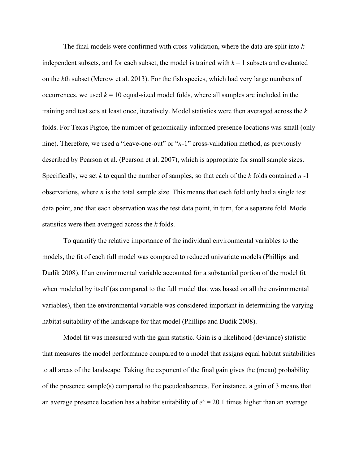The final models were confirmed with cross-validation, where the data are split into *k* independent subsets, and for each subset, the model is trained with  $k - 1$  subsets and evaluated on the *k*th subset (Merow et al. 2013). For the fish species, which had very large numbers of occurrences, we used  $k = 10$  equal-sized model folds, where all samples are included in the training and test sets at least once, iteratively. Model statistics were then averaged across the *k* folds. For Texas Pigtoe, the number of genomically-informed presence locations was small (only nine). Therefore, we used a "leave-one-out" or "*n*-1" cross-validation method, as previously described by Pearson et al. (Pearson et al. 2007), which is appropriate for small sample sizes. Specifically, we set *k* to equal the number of samples, so that each of the *k* folds contained *n* -1 observations, where *n* is the total sample size. This means that each fold only had a single test data point, and that each observation was the test data point, in turn, for a separate fold. Model statistics were then averaged across the *k* folds.

To quantify the relative importance of the individual environmental variables to the models, the fit of each full model was compared to reduced univariate models (Phillips and Dudik 2008). If an environmental variable accounted for a substantial portion of the model fit when modeled by itself (as compared to the full model that was based on all the environmental variables), then the environmental variable was considered important in determining the varying habitat suitability of the landscape for that model (Phillips and Dudik 2008).

Model fit was measured with the gain statistic. Gain is a likelihood (deviance) statistic that measures the model performance compared to a model that assigns equal habitat suitabilities to all areas of the landscape. Taking the exponent of the final gain gives the (mean) probability of the presence sample(s) compared to the pseudoabsences. For instance, a gain of 3 means that an average presence location has a habitat suitability of  $e^3 = 20.1$  times higher than an average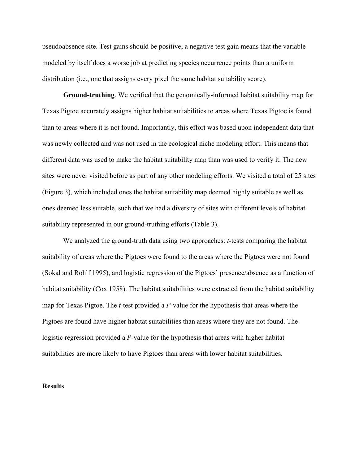pseudoabsence site. Test gains should be positive; a negative test gain means that the variable modeled by itself does a worse job at predicting species occurrence points than a uniform distribution (i.e., one that assigns every pixel the same habitat suitability score).

**Ground-truthing**. We verified that the genomically-informed habitat suitability map for Texas Pigtoe accurately assigns higher habitat suitabilities to areas where Texas Pigtoe is found than to areas where it is not found. Importantly, this effort was based upon independent data that was newly collected and was not used in the ecological niche modeling effort. This means that different data was used to make the habitat suitability map than was used to verify it. The new sites were never visited before as part of any other modeling efforts. We visited a total of 25 sites (Figure 3), which included ones the habitat suitability map deemed highly suitable as well as ones deemed less suitable, such that we had a diversity of sites with different levels of habitat suitability represented in our ground-truthing efforts (Table 3).

We analyzed the ground-truth data using two approaches: *t*-tests comparing the habitat suitability of areas where the Pigtoes were found to the areas where the Pigtoes were not found (Sokal and Rohlf 1995), and logistic regression of the Pigtoes' presence/absence as a function of habitat suitability (Cox 1958). The habitat suitabilities were extracted from the habitat suitability map for Texas Pigtoe. The *t*-test provided a *P*-value for the hypothesis that areas where the Pigtoes are found have higher habitat suitabilities than areas where they are not found. The logistic regression provided a *P*-value for the hypothesis that areas with higher habitat suitabilities are more likely to have Pigtoes than areas with lower habitat suitabilities.

#### **Results**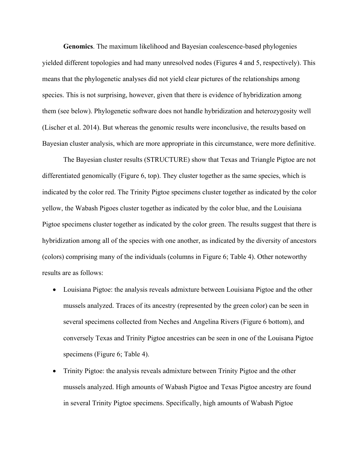**Genomics**. The maximum likelihood and Bayesian coalescence-based phylogenies yielded different topologies and had many unresolved nodes (Figures 4 and 5, respectively). This means that the phylogenetic analyses did not yield clear pictures of the relationships among species. This is not surprising, however, given that there is evidence of hybridization among them (see below). Phylogenetic software does not handle hybridization and heterozygosity well (Lischer et al. 2014). But whereas the genomic results were inconclusive, the results based on Bayesian cluster analysis, which are more appropriate in this circumstance, were more definitive.

The Bayesian cluster results (STRUCTURE) show that Texas and Triangle Pigtoe are not differentiated genomically (Figure 6, top). They cluster together as the same species, which is indicated by the color red. The Trinity Pigtoe specimens cluster together as indicated by the color yellow, the Wabash Pigoes cluster together as indicated by the color blue, and the Louisiana Pigtoe specimens cluster together as indicated by the color green. The results suggest that there is hybridization among all of the species with one another, as indicated by the diversity of ancestors (colors) comprising many of the individuals (columns in Figure 6; Table 4). Other noteworthy results are as follows:

- Louisiana Pigtoe: the analysis reveals admixture between Louisiana Pigtoe and the other mussels analyzed. Traces of its ancestry (represented by the green color) can be seen in several specimens collected from Neches and Angelina Rivers (Figure 6 bottom), and conversely Texas and Trinity Pigtoe ancestries can be seen in one of the Louisana Pigtoe specimens (Figure 6; Table 4).
- Trinity Pigtoe: the analysis reveals admixture between Trinity Pigtoe and the other mussels analyzed. High amounts of Wabash Pigtoe and Texas Pigtoe ancestry are found in several Trinity Pigtoe specimens. Specifically, high amounts of Wabash Pigtoe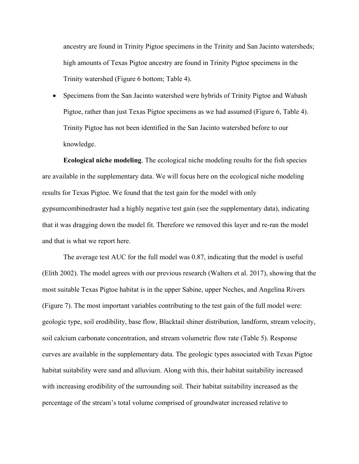ancestry are found in Trinity Pigtoe specimens in the Trinity and San Jacinto watersheds; high amounts of Texas Pigtoe ancestry are found in Trinity Pigtoe specimens in the Trinity watershed (Figure 6 bottom; Table 4).

• Specimens from the San Jacinto watershed were hybrids of Trinity Pigtoe and Wabash Pigtoe, rather than just Texas Pigtoe specimens as we had assumed (Figure 6, Table 4). Trinity Pigtoe has not been identified in the San Jacinto watershed before to our knowledge.

**Ecological niche modeling**. The ecological niche modeling results for the fish species are available in the supplementary data. We will focus here on the ecological niche modeling results for Texas Pigtoe. We found that the test gain for the model with only gypsumcombinedraster had a highly negative test gain (see the supplementary data), indicating that it was dragging down the model fit. Therefore we removed this layer and re-ran the model and that is what we report here.

The average test AUC for the full model was 0.87, indicating that the model is useful (Elith 2002). The model agrees with our previous research (Walters et al. 2017), showing that the most suitable Texas Pigtoe habitat is in the upper Sabine, upper Neches, and Angelina Rivers (Figure 7). The most important variables contributing to the test gain of the full model were: geologic type, soil erodibility, base flow, Blacktail shiner distribution, landform, stream velocity, soil calcium carbonate concentration, and stream volumetric flow rate (Table 5). Response curves are available in the supplementary data. The geologic types associated with Texas Pigtoe habitat suitability were sand and alluvium. Along with this, their habitat suitability increased with increasing erodibility of the surrounding soil. Their habitat suitability increased as the percentage of the stream's total volume comprised of groundwater increased relative to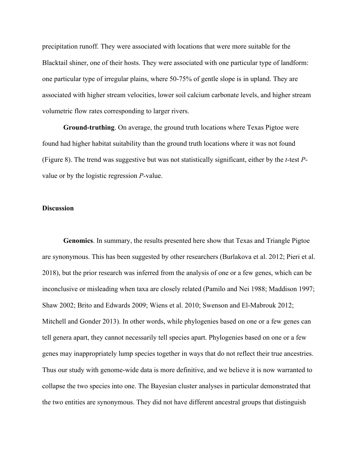precipitation runoff. They were associated with locations that were more suitable for the Blacktail shiner, one of their hosts. They were associated with one particular type of landform: one particular type of irregular plains, where 50-75% of gentle slope is in upland. They are associated with higher stream velocities, lower soil calcium carbonate levels, and higher stream volumetric flow rates corresponding to larger rivers.

**Ground-truthing**. On average, the ground truth locations where Texas Pigtoe were found had higher habitat suitability than the ground truth locations where it was not found (Figure 8). The trend was suggestive but was not statistically significant, either by the *t*-test *P*value or by the logistic regression *P*-value.

#### **Discussion**

**Genomics**. In summary, the results presented here show that Texas and Triangle Pigtoe are synonymous. This has been suggested by other researchers (Burlakova et al. 2012; Pieri et al. 2018), but the prior research was inferred from the analysis of one or a few genes, which can be inconclusive or misleading when taxa are closely related (Pamilo and Nei 1988; Maddison 1997; Shaw 2002; Brito and Edwards 2009; Wiens et al. 2010; Swenson and El-Mabrouk 2012; Mitchell and Gonder 2013). In other words, while phylogenies based on one or a few genes can tell genera apart, they cannot necessarily tell species apart. Phylogenies based on one or a few genes may inappropriately lump species together in ways that do not reflect their true ancestries. Thus our study with genome-wide data is more definitive, and we believe it is now warranted to collapse the two species into one. The Bayesian cluster analyses in particular demonstrated that the two entities are synonymous. They did not have different ancestral groups that distinguish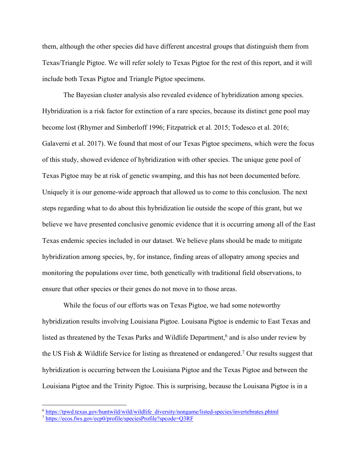them, although the other species did have different ancestral groups that distinguish them from Texas/Triangle Pigtoe. We will refer solely to Texas Pigtoe for the rest of this report, and it will include both Texas Pigtoe and Triangle Pigtoe specimens.

The Bayesian cluster analysis also revealed evidence of hybridization among species. Hybridization is a risk factor for extinction of a rare species, because its distinct gene pool may become lost (Rhymer and Simberloff 1996; Fitzpatrick et al. 2015; Todesco et al. 2016; Galaverni et al. 2017). We found that most of our Texas Pigtoe specimens, which were the focus of this study, showed evidence of hybridization with other species. The unique gene pool of Texas Pigtoe may be at risk of genetic swamping, and this has not been documented before. Uniquely it is our genome-wide approach that allowed us to come to this conclusion. The next steps regarding what to do about this hybridization lie outside the scope of this grant, but we believe we have presented conclusive genomic evidence that it is occurring among all of the East Texas endemic species included in our dataset. We believe plans should be made to mitigate hybridization among species, by, for instance, finding areas of allopatry among species and monitoring the populations over time, both genetically with traditional field observations, to ensure that other species or their genes do not move in to those areas.

While the focus of our efforts was on Texas Pigtoe, we had some noteworthy hybridization results involving Louisiana Pigtoe. Louisana Pigtoe is endemic to East Texas and listed as threatened by the Texas Parks and Wildlife Department,<sup>6</sup> and is also under review by the US Fish & Wildlife Service for listing as threatened or endangered.7 Our results suggest that hybridization is occurring between the Louisiana Pigtoe and the Texas Pigtoe and between the Louisiana Pigtoe and the Trinity Pigtoe. This is surprising, because the Louisana Pigtoe is in a

 <sup>6</sup> https://tpwd.texas.gov/huntwild/wild/wildlife\_diversity/nongame/listed-species/invertebrates.phtml

<sup>7</sup> https://ecos.fws.gov/ecp0/profile/speciesProfile?spcode=Q3RF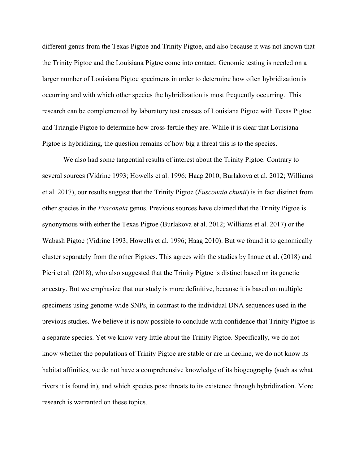different genus from the Texas Pigtoe and Trinity Pigtoe, and also because it was not known that the Trinity Pigtoe and the Louisiana Pigtoe come into contact. Genomic testing is needed on a larger number of Louisiana Pigtoe specimens in order to determine how often hybridization is occurring and with which other species the hybridization is most frequently occurring. This research can be complemented by laboratory test crosses of Louisiana Pigtoe with Texas Pigtoe and Triangle Pigtoe to determine how cross-fertile they are. While it is clear that Louisiana Pigtoe is hybridizing, the question remains of how big a threat this is to the species.

We also had some tangential results of interest about the Trinity Pigtoe. Contrary to several sources (Vidrine 1993; Howells et al. 1996; Haag 2010; Burlakova et al. 2012; Williams et al. 2017), our results suggest that the Trinity Pigtoe (*Fusconaia chunii*) is in fact distinct from other species in the *Fusconaia* genus. Previous sources have claimed that the Trinity Pigtoe is synonymous with either the Texas Pigtoe (Burlakova et al. 2012; Williams et al. 2017) or the Wabash Pigtoe (Vidrine 1993; Howells et al. 1996; Haag 2010). But we found it to genomically cluster separately from the other Pigtoes. This agrees with the studies by Inoue et al. (2018) and Pieri et al. (2018), who also suggested that the Trinity Pigtoe is distinct based on its genetic ancestry. But we emphasize that our study is more definitive, because it is based on multiple specimens using genome-wide SNPs, in contrast to the individual DNA sequences used in the previous studies. We believe it is now possible to conclude with confidence that Trinity Pigtoe is a separate species. Yet we know very little about the Trinity Pigtoe. Specifically, we do not know whether the populations of Trinity Pigtoe are stable or are in decline, we do not know its habitat affinities, we do not have a comprehensive knowledge of its biogeography (such as what rivers it is found in), and which species pose threats to its existence through hybridization. More research is warranted on these topics.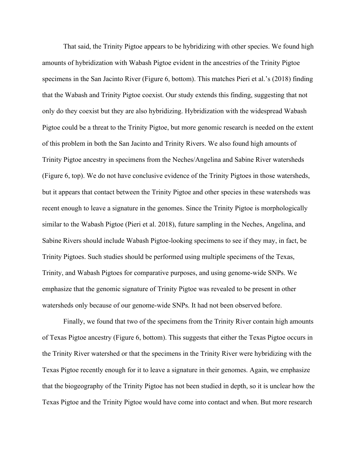That said, the Trinity Pigtoe appears to be hybridizing with other species. We found high amounts of hybridization with Wabash Pigtoe evident in the ancestries of the Trinity Pigtoe specimens in the San Jacinto River (Figure 6, bottom). This matches Pieri et al.'s (2018) finding that the Wabash and Trinity Pigtoe coexist. Our study extends this finding, suggesting that not only do they coexist but they are also hybridizing. Hybridization with the widespread Wabash Pigtoe could be a threat to the Trinity Pigtoe, but more genomic research is needed on the extent of this problem in both the San Jacinto and Trinity Rivers. We also found high amounts of Trinity Pigtoe ancestry in specimens from the Neches/Angelina and Sabine River watersheds (Figure 6, top). We do not have conclusive evidence of the Trinity Pigtoes in those watersheds, but it appears that contact between the Trinity Pigtoe and other species in these watersheds was recent enough to leave a signature in the genomes. Since the Trinity Pigtoe is morphologically similar to the Wabash Pigtoe (Pieri et al. 2018), future sampling in the Neches, Angelina, and Sabine Rivers should include Wabash Pigtoe-looking specimens to see if they may, in fact, be Trinity Pigtoes. Such studies should be performed using multiple specimens of the Texas, Trinity, and Wabash Pigtoes for comparative purposes, and using genome-wide SNPs. We emphasize that the genomic signature of Trinity Pigtoe was revealed to be present in other watersheds only because of our genome-wide SNPs. It had not been observed before.

Finally, we found that two of the specimens from the Trinity River contain high amounts of Texas Pigtoe ancestry (Figure 6, bottom). This suggests that either the Texas Pigtoe occurs in the Trinity River watershed or that the specimens in the Trinity River were hybridizing with the Texas Pigtoe recently enough for it to leave a signature in their genomes. Again, we emphasize that the biogeography of the Trinity Pigtoe has not been studied in depth, so it is unclear how the Texas Pigtoe and the Trinity Pigtoe would have come into contact and when. But more research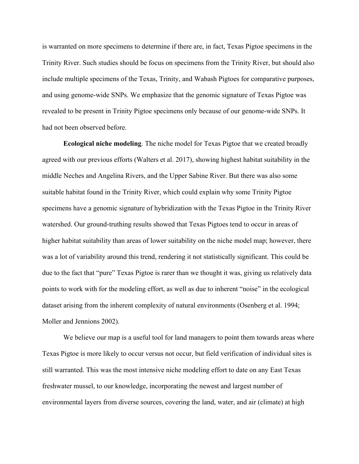is warranted on more specimens to determine if there are, in fact, Texas Pigtoe specimens in the Trinity River. Such studies should be focus on specimens from the Trinity River, but should also include multiple specimens of the Texas, Trinity, and Wabash Pigtoes for comparative purposes, and using genome-wide SNPs. We emphasize that the genomic signature of Texas Pigtoe was revealed to be present in Trinity Pigtoe specimens only because of our genome-wide SNPs. It had not been observed before.

**Ecological niche modeling**. The niche model for Texas Pigtoe that we created broadly agreed with our previous efforts (Walters et al. 2017), showing highest habitat suitability in the middle Neches and Angelina Rivers, and the Upper Sabine River. But there was also some suitable habitat found in the Trinity River, which could explain why some Trinity Pigtoe specimens have a genomic signature of hybridization with the Texas Pigtoe in the Trinity River watershed. Our ground-truthing results showed that Texas Pigtoes tend to occur in areas of higher habitat suitability than areas of lower suitability on the niche model map; however, there was a lot of variability around this trend, rendering it not statistically significant. This could be due to the fact that "pure" Texas Pigtoe is rarer than we thought it was, giving us relatively data points to work with for the modeling effort, as well as due to inherent "noise" in the ecological dataset arising from the inherent complexity of natural environments (Osenberg et al. 1994; Moller and Jennions 2002).

We believe our map is a useful tool for land managers to point them towards areas where Texas Pigtoe is more likely to occur versus not occur, but field verification of individual sites is still warranted. This was the most intensive niche modeling effort to date on any East Texas freshwater mussel, to our knowledge, incorporating the newest and largest number of environmental layers from diverse sources, covering the land, water, and air (climate) at high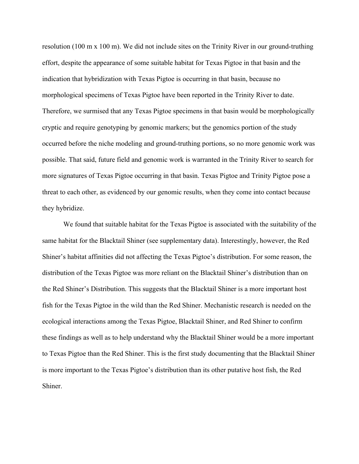resolution (100 m x 100 m). We did not include sites on the Trinity River in our ground-truthing effort, despite the appearance of some suitable habitat for Texas Pigtoe in that basin and the indication that hybridization with Texas Pigtoe is occurring in that basin, because no morphological specimens of Texas Pigtoe have been reported in the Trinity River to date. Therefore, we surmised that any Texas Pigtoe specimens in that basin would be morphologically cryptic and require genotyping by genomic markers; but the genomics portion of the study occurred before the niche modeling and ground-truthing portions, so no more genomic work was possible. That said, future field and genomic work is warranted in the Trinity River to search for more signatures of Texas Pigtoe occurring in that basin. Texas Pigtoe and Trinity Pigtoe pose a threat to each other, as evidenced by our genomic results, when they come into contact because they hybridize.

We found that suitable habitat for the Texas Pigtoe is associated with the suitability of the same habitat for the Blacktail Shiner (see supplementary data). Interestingly, however, the Red Shiner's habitat affinities did not affecting the Texas Pigtoe's distribution. For some reason, the distribution of the Texas Pigtoe was more reliant on the Blacktail Shiner's distribution than on the Red Shiner's Distribution. This suggests that the Blacktail Shiner is a more important host fish for the Texas Pigtoe in the wild than the Red Shiner. Mechanistic research is needed on the ecological interactions among the Texas Pigtoe, Blacktail Shiner, and Red Shiner to confirm these findings as well as to help understand why the Blacktail Shiner would be a more important to Texas Pigtoe than the Red Shiner. This is the first study documenting that the Blacktail Shiner is more important to the Texas Pigtoe's distribution than its other putative host fish, the Red Shiner.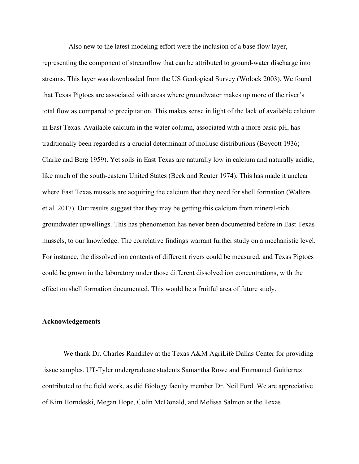Also new to the latest modeling effort were the inclusion of a base flow layer,

representing the component of streamflow that can be attributed to ground-water discharge into streams. This layer was downloaded from the US Geological Survey (Wolock 2003). We found that Texas Pigtoes are associated with areas where groundwater makes up more of the river's total flow as compared to precipitation. This makes sense in light of the lack of available calcium in East Texas. Available calcium in the water column, associated with a more basic pH, has traditionally been regarded as a crucial determinant of mollusc distributions (Boycott 1936; Clarke and Berg 1959). Yet soils in East Texas are naturally low in calcium and naturally acidic, like much of the south-eastern United States (Beck and Reuter 1974). This has made it unclear where East Texas mussels are acquiring the calcium that they need for shell formation (Walters et al. 2017). Our results suggest that they may be getting this calcium from mineral-rich groundwater upwellings. This has phenomenon has never been documented before in East Texas mussels, to our knowledge. The correlative findings warrant further study on a mechanistic level. For instance, the dissolved ion contents of different rivers could be measured, and Texas Pigtoes could be grown in the laboratory under those different dissolved ion concentrations, with the effect on shell formation documented. This would be a fruitful area of future study.

#### **Acknowledgements**

We thank Dr. Charles Randklev at the Texas A&M AgriLife Dallas Center for providing tissue samples. UT-Tyler undergraduate students Samantha Rowe and Emmanuel Guitierrez contributed to the field work, as did Biology faculty member Dr. Neil Ford. We are appreciative of Kim Horndeski, Megan Hope, Colin McDonald, and Melissa Salmon at the Texas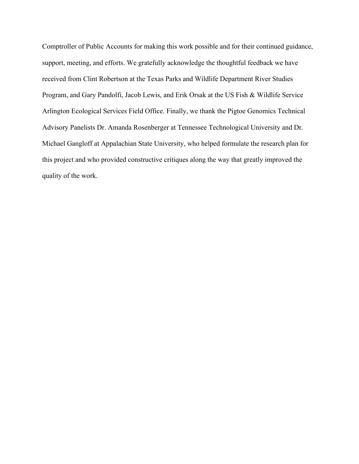Comptroller of Public Accounts for making this work possible and for their continued guidance, support, meeting, and efforts. We gratefully acknowledge the thoughtful feedback we have received from Clint Robertson at the Texas Parks and Wildlife Department River Studies Program, and Gary Pandolfi, Jacob Lewis, and Erik Orsak at the US Fish & Wildlife Service Arlington Ecological Services Field Office. Finally, we thank the Pigtoe Genomics Technical Advisory Panelists Dr. Amanda Rosenberger at Tennessee Technological University and Dr. Michael Gangloff at Appalachian State University, who helped formulate the research plan for this project and who provided constructive critiques along the way that greatly improved the quality of the work.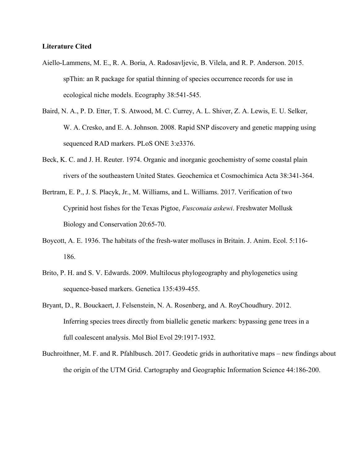### **Literature Cited**

- Aiello-Lammens, M. E., R. A. Boria, A. Radosavljevic, B. Vilela, and R. P. Anderson. 2015. spThin: an R package for spatial thinning of species occurrence records for use in ecological niche models. Ecography 38:541-545.
- Baird, N. A., P. D. Etter, T. S. Atwood, M. C. Currey, A. L. Shiver, Z. A. Lewis, E. U. Selker, W. A. Cresko, and E. A. Johnson. 2008. Rapid SNP discovery and genetic mapping using sequenced RAD markers. PLoS ONE 3:e3376.
- Beck, K. C. and J. H. Reuter. 1974. Organic and inorganic geochemistry of some coastal plain rivers of the southeastern United States. Geochemica et Cosmochimica Acta 38:341-364.
- Bertram, E. P., J. S. Placyk, Jr., M. Williams, and L. Williams. 2017. Verification of two Cyprinid host fishes for the Texas Pigtoe, *Fusconaia askewi*. Freshwater Mollusk Biology and Conservation 20:65-70.
- Boycott, A. E. 1936. The habitats of the fresh-water molluscs in Britain. J. Anim. Ecol. 5:116-186.
- Brito, P. H. and S. V. Edwards. 2009. Multilocus phylogeography and phylogenetics using sequence-based markers. Genetica 135:439-455.
- Bryant, D., R. Bouckaert, J. Felsenstein, N. A. Rosenberg, and A. RoyChoudhury. 2012. Inferring species trees directly from biallelic genetic markers: bypassing gene trees in a full coalescent analysis. Mol Biol Evol 29:1917-1932.
- Buchroithner, M. F. and R. Pfahlbusch. 2017. Geodetic grids in authoritative maps new findings about the origin of the UTM Grid. Cartography and Geographic Information Science 44:186-200.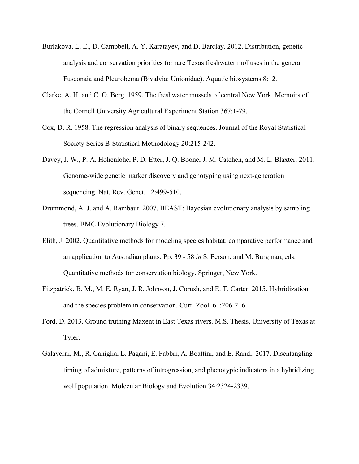- Burlakova, L. E., D. Campbell, A. Y. Karatayev, and D. Barclay. 2012. Distribution, genetic analysis and conservation priorities for rare Texas freshwater molluscs in the genera Fusconaia and Pleurobema (Bivalvia: Unionidae). Aquatic biosystems 8:12.
- Clarke, A. H. and C. O. Berg. 1959. The freshwater mussels of central New York. Memoirs of the Cornell University Agricultural Experiment Station 367:1-79.
- Cox, D. R. 1958. The regression analysis of binary sequences. Journal of the Royal Statistical Society Series B-Statistical Methodology 20:215-242.
- Davey, J. W., P. A. Hohenlohe, P. D. Etter, J. Q. Boone, J. M. Catchen, and M. L. Blaxter. 2011. Genome-wide genetic marker discovery and genotyping using next-generation sequencing. Nat. Rev. Genet. 12:499-510.
- Drummond, A. J. and A. Rambaut. 2007. BEAST: Bayesian evolutionary analysis by sampling trees. BMC Evolutionary Biology 7.
- Elith, J. 2002. Quantitative methods for modeling species habitat: comparative performance and an application to Australian plants. Pp. 39 - 58 *in* S. Ferson, and M. Burgman, eds. Quantitative methods for conservation biology. Springer, New York.
- Fitzpatrick, B. M., M. E. Ryan, J. R. Johnson, J. Corush, and E. T. Carter. 2015. Hybridization and the species problem in conservation. Curr. Zool. 61:206-216.
- Ford, D. 2013. Ground truthing Maxent in East Texas rivers. M.S. Thesis, University of Texas at Tyler.
- Galaverni, M., R. Caniglia, L. Pagani, E. Fabbri, A. Boattini, and E. Randi. 2017. Disentangling timing of admixture, patterns of introgression, and phenotypic indicators in a hybridizing wolf population. Molecular Biology and Evolution 34:2324-2339.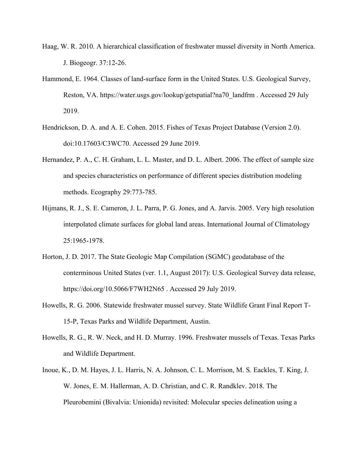- Haag, W. R. 2010. A hierarchical classification of freshwater mussel diversity in North America. J. Biogeogr. 37:12-26.
- Hammond, E. 1964. Classes of land-surface form in the United States. U.S. Geological Survey, Reston, VA. https://water.usgs.gov/lookup/getspatial?na70\_landfrm . Accessed 29 July 2019.
- Hendrickson, D. A. and A. E. Cohen. 2015. Fishes of Texas Project Database (Version 2.0). doi:10.17603/C3WC70. Accessed 29 June 2019.
- Hernandez, P. A., C. H. Graham, L. L. Master, and D. L. Albert. 2006. The effect of sample size and species characteristics on performance of different species distribution modeling methods. Ecography 29:773-785.
- Hijmans, R. J., S. E. Cameron, J. L. Parra, P. G. Jones, and A. Jarvis. 2005. Very high resolution interpolated climate surfaces for global land areas. International Journal of Climatology 25:1965-1978.
- Horton, J. D. 2017. The State Geologic Map Compilation (SGMC) geodatabase of the conterminous United States (ver. 1.1, August 2017): U.S. Geological Survey data release, https://doi.org/10.5066/F7WH2N65 . Accessed 29 July 2019.
- Howells, R. G. 2006. Statewide freshwater mussel survey. State Wildlife Grant Final Report T-15-P, Texas Parks and Wildlife Department, Austin.
- Howells, R. G., R. W. Neck, and H. D. Murray. 1996. Freshwater mussels of Texas. Texas Parks and Wildlife Department.
- Inoue, K., D. M. Hayes, J. L. Harris, N. A. Johnson, C. L. Morrison, M. S. Eackles, T. King, J. W. Jones, E. M. Hallerman, A. D. Christian, and C. R. Randklev. 2018. The Pleurobemini (Bivalvia: Unionida) revisited: Molecular species delineation using a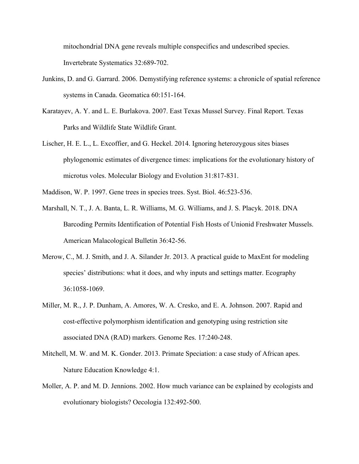mitochondrial DNA gene reveals multiple conspecifics and undescribed species. Invertebrate Systematics 32:689-702.

- Junkins, D. and G. Garrard. 2006. Demystifying reference systems: a chronicle of spatial reference systems in Canada. Geomatica 60:151-164.
- Karatayev, A. Y. and L. E. Burlakova. 2007. East Texas Mussel Survey. Final Report. Texas Parks and Wildlife State Wildlife Grant.
- Lischer, H. E. L., L. Excoffier, and G. Heckel. 2014. Ignoring heterozygous sites biases phylogenomic estimates of divergence times: implications for the evolutionary history of microtus voles. Molecular Biology and Evolution 31:817-831.
- Maddison, W. P. 1997. Gene trees in species trees. Syst. Biol. 46:523-536.
- Marshall, N. T., J. A. Banta, L. R. Williams, M. G. Williams, and J. S. Placyk. 2018. DNA Barcoding Permits Identification of Potential Fish Hosts of Unionid Freshwater Mussels. American Malacological Bulletin 36:42-56.
- Merow, C., M. J. Smith, and J. A. Silander Jr. 2013. A practical guide to MaxEnt for modeling species' distributions: what it does, and why inputs and settings matter. Ecography 36:1058-1069.
- Miller, M. R., J. P. Dunham, A. Amores, W. A. Cresko, and E. A. Johnson. 2007. Rapid and cost-effective polymorphism identification and genotyping using restriction site associated DNA (RAD) markers. Genome Res. 17:240-248.
- Mitchell, M. W. and M. K. Gonder. 2013. Primate Speciation: a case study of African apes. Nature Education Knowledge 4:1.
- Moller, A. P. and M. D. Jennions. 2002. How much variance can be explained by ecologists and evolutionary biologists? Oecologia 132:492-500.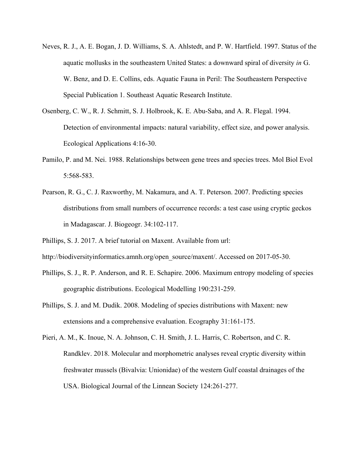- Neves, R. J., A. E. Bogan, J. D. Williams, S. A. Ahlstedt, and P. W. Hartfield. 1997. Status of the aquatic mollusks in the southeastern United States: a downward spiral of diversity *in* G. W. Benz, and D. E. Collins, eds. Aquatic Fauna in Peril: The Southeastern Perspective Special Publication 1. Southeast Aquatic Research Institute.
- Osenberg, C. W., R. J. Schmitt, S. J. Holbrook, K. E. Abu-Saba, and A. R. Flegal. 1994. Detection of environmental impacts: natural variability, effect size, and power analysis. Ecological Applications 4:16-30.
- Pamilo, P. and M. Nei. 1988. Relationships between gene trees and species trees. Mol Biol Evol 5:568-583.
- Pearson, R. G., C. J. Raxworthy, M. Nakamura, and A. T. Peterson. 2007. Predicting species distributions from small numbers of occurrence records: a test case using cryptic geckos in Madagascar. J. Biogeogr. 34:102-117.
- Phillips, S. J. 2017. A brief tutorial on Maxent. Available from url:
- http://biodiversityinformatics.amnh.org/open\_source/maxent/. Accessed on 2017-05-30.
- Phillips, S. J., R. P. Anderson, and R. E. Schapire. 2006. Maximum entropy modeling of species geographic distributions. Ecological Modelling 190:231-259.
- Phillips, S. J. and M. Dudik. 2008. Modeling of species distributions with Maxent: new extensions and a comprehensive evaluation. Ecography 31:161-175.
- Pieri, A. M., K. Inoue, N. A. Johnson, C. H. Smith, J. L. Harris, C. Robertson, and C. R. Randklev. 2018. Molecular and morphometric analyses reveal cryptic diversity within freshwater mussels (Bivalvia: Unionidae) of the western Gulf coastal drainages of the USA. Biological Journal of the Linnean Society 124:261-277.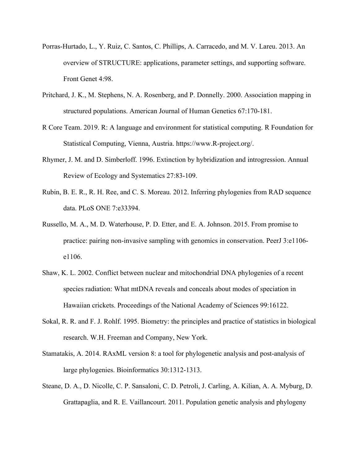- Porras-Hurtado, L., Y. Ruiz, C. Santos, C. Phillips, A. Carracedo, and M. V. Lareu. 2013. An overview of STRUCTURE: applications, parameter settings, and supporting software. Front Genet 4:98.
- Pritchard, J. K., M. Stephens, N. A. Rosenberg, and P. Donnelly. 2000. Association mapping in structured populations. American Journal of Human Genetics 67:170-181.
- R Core Team. 2019. R: A language and environment for statistical computing. R Foundation for Statistical Computing, Vienna, Austria. https://www.R-project.org/.
- Rhymer, J. M. and D. Simberloff. 1996. Extinction by hybridization and introgression. Annual Review of Ecology and Systematics 27:83-109.
- Rubin, B. E. R., R. H. Ree, and C. S. Moreau. 2012. Inferring phylogenies from RAD sequence data. PLoS ONE 7:e33394.
- Russello, M. A., M. D. Waterhouse, P. D. Etter, and E. A. Johnson. 2015. From promise to practice: pairing non-invasive sampling with genomics in conservation. PeerJ 3:e1106 e1106.
- Shaw, K. L. 2002. Conflict between nuclear and mitochondrial DNA phylogenies of a recent species radiation: What mtDNA reveals and conceals about modes of speciation in Hawaiian crickets. Proceedings of the National Academy of Sciences 99:16122.
- Sokal, R. R. and F. J. Rohlf. 1995. Biometry: the principles and practice of statistics in biological research. W.H. Freeman and Company, New York.
- Stamatakis, A. 2014. RAxML version 8: a tool for phylogenetic analysis and post-analysis of large phylogenies. Bioinformatics 30:1312-1313.
- Steane, D. A., D. Nicolle, C. P. Sansaloni, C. D. Petroli, J. Carling, A. Kilian, A. A. Myburg, D. Grattapaglia, and R. E. Vaillancourt. 2011. Population genetic analysis and phylogeny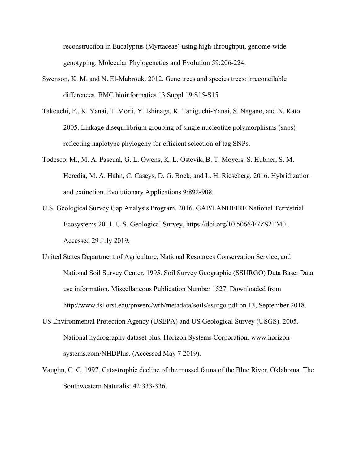reconstruction in Eucalyptus (Myrtaceae) using high-throughput, genome-wide genotyping. Molecular Phylogenetics and Evolution 59:206-224.

- Swenson, K. M. and N. El-Mabrouk. 2012. Gene trees and species trees: irreconcilable differences. BMC bioinformatics 13 Suppl 19:S15-S15.
- Takeuchi, F., K. Yanai, T. Morii, Y. Ishinaga, K. Taniguchi-Yanai, S. Nagano, and N. Kato. 2005. Linkage disequilibrium grouping of single nucleotide polymorphisms (snps) reflecting haplotype phylogeny for efficient selection of tag SNPs.
- Todesco, M., M. A. Pascual, G. L. Owens, K. L. Ostevik, B. T. Moyers, S. Hubner, S. M. Heredia, M. A. Hahn, C. Caseys, D. G. Bock, and L. H. Rieseberg. 2016. Hybridization and extinction. Evolutionary Applications 9:892-908.
- U.S. Geological Survey Gap Analysis Program. 2016. GAP/LANDFIRE National Terrestrial Ecosystems 2011. U.S. Geological Survey, https://doi.org/10.5066/F7ZS2TM0 . Accessed 29 July 2019.
- United States Department of Agriculture, National Resources Conservation Service, and National Soil Survey Center. 1995. Soil Survey Geographic (SSURGO) Data Base: Data use information. Miscellaneous Publication Number 1527. Downloaded from http://www.fsl.orst.edu/pnwerc/wrb/metadata/soils/ssurgo.pdf on 13, September 2018.
- US Environmental Protection Agency (USEPA) and US Geological Survey (USGS). 2005. National hydrography dataset plus. Horizon Systems Corporation. www.horizon‐ systems.com/NHDPlus. (Accessed May 7 2019).
- Vaughn, C. C. 1997. Catastrophic decline of the mussel fauna of the Blue River, Oklahoma. The Southwestern Naturalist 42:333-336.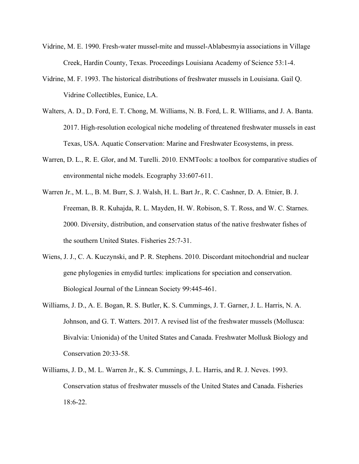- Vidrine, M. E. 1990. Fresh-water mussel-mite and mussel-Ablabesmyia associations in Village Creek, Hardin County, Texas. Proceedings Louisiana Academy of Science 53:1-4.
- Vidrine, M. F. 1993. The historical distributions of freshwater mussels in Louisiana. Gail Q. Vidrine Collectibles, Eunice, LA.
- Walters, A. D., D. Ford, E. T. Chong, M. Williams, N. B. Ford, L. R. WIlliams, and J. A. Banta. 2017. High-resolution ecological niche modeling of threatened freshwater mussels in east Texas, USA. Aquatic Conservation: Marine and Freshwater Ecosystems, in press.
- Warren, D. L., R. E. Glor, and M. Turelli. 2010. ENMTools: a toolbox for comparative studies of environmental niche models. Ecography 33:607-611.
- Warren Jr., M. L., B. M. Burr, S. J. Walsh, H. L. Bart Jr., R. C. Cashner, D. A. Etnier, B. J. Freeman, B. R. Kuhajda, R. L. Mayden, H. W. Robison, S. T. Ross, and W. C. Starnes. 2000. Diversity, distribution, and conservation status of the native freshwater fishes of the southern United States. Fisheries 25:7-31.
- Wiens, J. J., C. A. Kuczynski, and P. R. Stephens. 2010. Discordant mitochondrial and nuclear gene phylogenies in emydid turtles: implications for speciation and conservation. Biological Journal of the Linnean Society 99:445-461.
- Williams, J. D., A. E. Bogan, R. S. Butler, K. S. Cummings, J. T. Garner, J. L. Harris, N. A. Johnson, and G. T. Watters. 2017. A revised list of the freshwater mussels (Mollusca: Bivalvia: Unionida) of the United States and Canada. Freshwater Mollusk Biology and Conservation 20:33-58.
- Williams, J. D., M. L. Warren Jr., K. S. Cummings, J. L. Harris, and R. J. Neves. 1993. Conservation status of freshwater mussels of the United States and Canada. Fisheries 18:6-22.